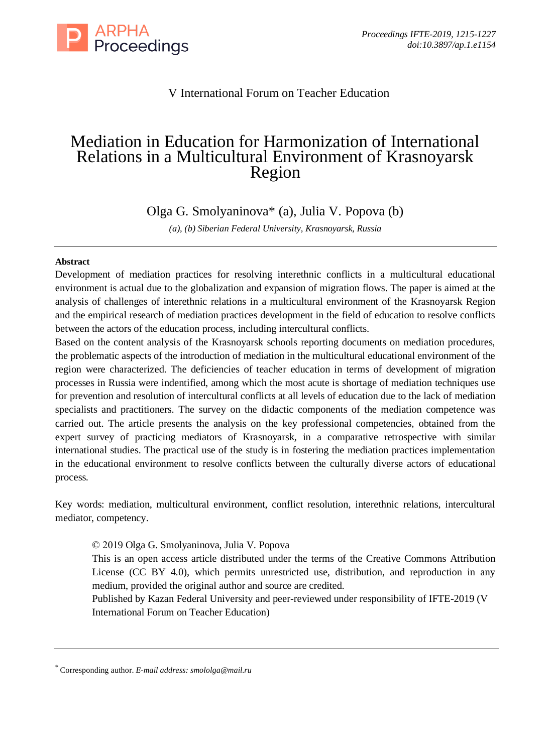

# V International Forum on Teacher Education

# Mediation in Education for Harmonization of International Relations in a Multicultural Environment of Krasnoyarsk Region

Olga G. Smolyaninova\* (a), Julia V. Popova (b)

*(a), (b) Siberian Federal University, Krasnoyarsk, Russia*

# **Abstract**

Development of mediation practices for resolving interethnic conflicts in a multicultural educational environment is actual due to the globalization and expansion of migration flows. The paper is aimed at the analysis of challenges of interethnic relations in a multicultural environment of the Krasnoyarsk Region and the empirical research of mediation practices development in the field of education to resolve conflicts between the actors of the education process, including intercultural conflicts.

Based on the content analysis of the Krasnoyarsk schools reporting documents on mediation procedures, the problematic aspects of the introduction of mediation in the multicultural educational environment of the region were characterized. The deficiencies of teacher education in terms of development of migration processes in Russia were indentified, among which the most acute is shortage of mediation techniques use for prevention and resolution of intercultural conflicts at all levels of education due to the lack of mediation specialists and practitioners. The survey on the didactic components of the mediation competence was carried out. The article presents the analysis on the key professional competencies, obtained from the expert survey of practicing mediators of Krasnoyarsk, in a comparative retrospective with similar international studies. The practical use of the study is in fostering the mediation practices implementation in the educational environment to resolve conflicts between the culturally diverse actors of educational process.

Key words: mediation, multicultural environment, conflict resolution, interethnic relations, intercultural mediator, competency.

© 2019 Olga G. Smolyaninova, Julia V. Popova

This is an open access article distributed under the terms of the Creative Commons Attribution License (CC BY 4.0), which permits unrestricted use, distribution, and reproduction in any medium, provided the original author and source are credited.

Published by Kazan Federal University and peer-reviewed under responsibility of IFTE-2019 (V International Forum on Teacher Education)

<sup>\*</sup> Corresponding author. *E-mail address[: smololga@mail.ru](mailto:smololga@mail.ru)*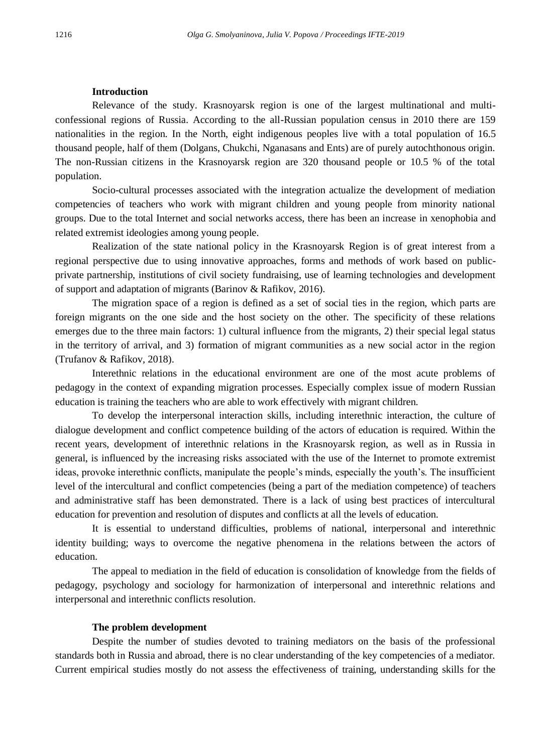## **Introduction**

Relevance of the study. Krasnoyarsk region is one of the largest multinational and multiconfessional regions of Russia. According to the all-Russian population census in 2010 there are 159 nationalities in the region. In the North, eight indigenous peoples live with a total population of 16.5 thousand people, half of them (Dolgans, Chukchi, Nganasans and Ents) are of purely autochthonous origin. The non-Russian citizens in the Krasnoyarsk region are 320 thousand people or 10.5 % of the total population.

Socio-cultural processes associated with the integration actualize the development of mediation competencies of teachers who work with migrant children and young people from minority national groups. Due to the total Internet and social networks access, there has been an increase in xenophobia and related extremist ideologies among young people.

Realization of the state national policy in the Krasnoyarsk Region is of great interest from a regional perspective due to using innovative approaches, forms and methods of work based on publicprivate partnership, institutions of civil society fundraising, use of learning technologies and development of support and adaptation of migrants (Barinov & Rafikov, 2016).

The migration space of a region is defined as a set of social ties in the region, which parts are foreign migrants on the one side and the host society on the other. The specificity of these relations emerges due to the three main factors: 1) cultural influence from the migrants, 2) their special legal status in the territory of arrival, and 3) formation of migrant communities as a new social actor in the region (Trufanov & Rafikov, 2018).

Interethnic relations in the educational environment are one of the most acute problems of pedagogy in the context of expanding migration processes. Especially complex issue of modern Russian education is training the teachers who are able to work effectively with migrant children.

To develop the interpersonal interaction skills, including interethnic interaction, the culture of dialogue development and conflict competence building of the actors of education is required. Within the recent years, development of interethnic relations in the Krasnoyarsk region, as well as in Russia in general, is influenced by the increasing risks associated with the use of the Internet to promote extremist ideas, provoke interethnic conflicts, manipulate the people's minds, especially the youth's. The insufficient level of the intercultural and conflict competencies (being a part of the mediation competence) of teachers and administrative staff has been demonstrated. There is a lack of using best practices of intercultural education for prevention and resolution of disputes and conflicts at all the levels of education.

It is essential to understand difficulties, problems of national, interpersonal and interethnic identity building; ways to overcome the negative phenomena in the relations between the actors of education.

The appeal to mediation in the field of education is consolidation of knowledge from the fields of pedagogy, psychology and sociology for harmonization of interpersonal and interethnic relations and interpersonal and interethnic conflicts resolution.

#### **The problem development**

Despite the number of studies devoted to training mediators on the basis of the professional standards both in Russia and abroad, there is no clear understanding of the key competencies of a mediator. Current empirical studies mostly do not assess the effectiveness of training, understanding skills for the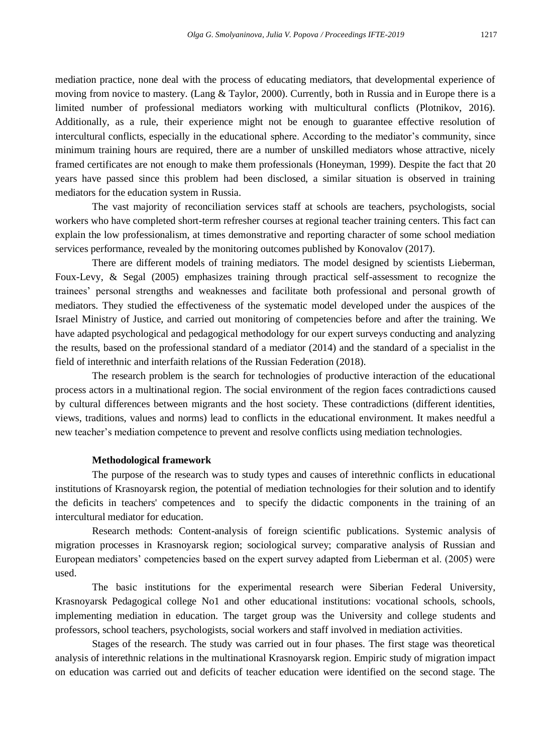mediation practice, none deal with the process of educating mediators, that developmental experience of moving from novice to mastery. (Lang & Taylor, 2000). Currently, both in Russia and in Europe there is a limited number of professional mediators working with multicultural conflicts (Plotnikov, 2016). Additionally, as a rule, their experience might not be enough to guarantee effective resolution of intercultural conflicts, especially in the educational sphere. According to the mediator's community, since minimum training hours are required, there are a number of unskilled mediators whose attractive, nicely framed certificates are not enough to make them professionals (Honeyman, 1999). Despite the fact that 20 years have passed since this problem had been disclosed, a similar situation is observed in training mediators for the education system in Russia.

The vast majority of reconciliation services staff at schools are teachers, psychologists, social workers who have completed short-term refresher courses at regional teacher training centers. This fact can explain the low professionalism, at times demonstrative and reporting character of some school mediation services performance, revealed by the monitoring outcomes published by Konovalov (2017).

There are different models of training mediators. The model designed by scientists Lieberman, Foux-Levy, & Segal (2005) emphasizes training through practical self-assessment to recognize the trainees' personal strengths and weaknesses and facilitate both professional and personal growth of mediators. They studied the effectiveness of the systematic model developed under the auspices of the Israel Ministry of Justice, and carried out monitoring of competencies before and after the training. We have adapted psychological and pedagogical methodology for our expert surveys conducting and analyzing the results, based on the professional standard of a mediator (2014) and the standard of a specialist in the field of interethnic and interfaith relations of the Russian Federation (2018).

The research problem is the search for technologies of productive interaction of the educational process actors in a multinational region. The social environment of the region faces contradictions caused by cultural differences between migrants and the host society. These contradictions (different identities, views, traditions, values and norms) lead to conflicts in the educational environment. It makes needful a new teacher's mediation competence to prevent and resolve conflicts using mediation technologies.

#### **Methodological framework**

The purpose of the research was to study types and causes of interethnic conflicts in educational institutions of Krasnoyarsk region, the potential of mediation technologies for their solution and to identify the deficits in teachers' competences and to specify the didactic components in the training of an intercultural mediator for education.

Research methods: Content-analysis of foreign scientific publications. Systemic analysis of migration processes in Krasnoyarsk region; sociological survey; comparative analysis of Russian and European mediators' competencies based on the expert survey adapted from Lieberman et al. (2005) were used.

The basic institutions for the experimental research were Siberian Federal University, Krasnoyarsk Pedagogical college No1 and other educational institutions: vocational schools, schools, implementing mediation in education. The target group was the University and college students and professors, school teachers, psychologists, social workers and staff involved in mediation activities.

Stages of the research. The study was carried out in four phases. The first stage was theoretical analysis of interethnic relations in the multinational Krasnoyarsk region. Empiric study of migration impact on education was carried out and deficits of teacher education were identified on the second stage. The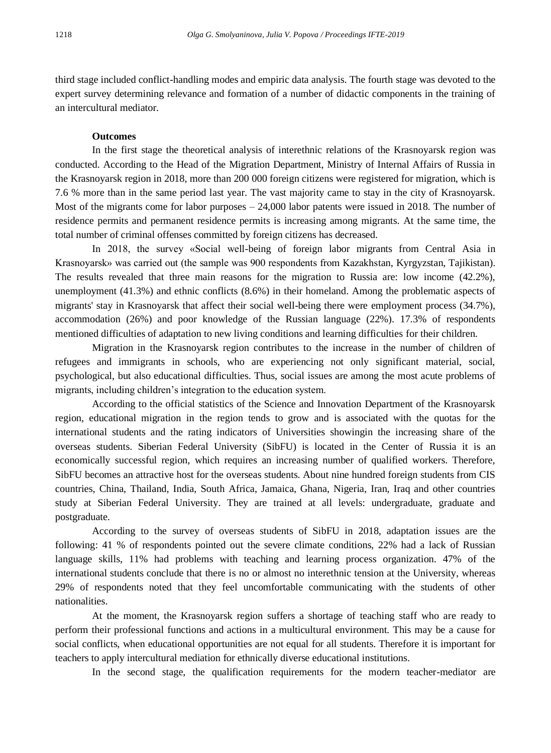third stage included conflict-handling modes and empiric data analysis. The fourth stage was devoted to the expert survey determining relevance and formation of a number of didactic components in the training of an intercultural mediator.

#### **Outcomes**

In the first stage the theoretical analysis of interethnic relations of the Krasnoyarsk region was conducted. According to the Head of the Migration Department, Ministry of Internal Affairs of Russia in the Krasnoyarsk region in 2018, more than 200 000 foreign citizens were registered for migration, which is 7.6 % more than in the same period last year. The vast majority came to stay in the city of Krasnoyarsk. Most of the migrants come for labor purposes – 24,000 labor patents were issued in 2018. The number of residence permits and permanent residence permits is increasing among migrants. At the same time, the total number of criminal offenses committed by foreign citizens has decreased.

In 2018, the survey «Social well-being of foreign labor migrants from Central Asia in Krasnoyarsk» was carried out (the sample was 900 respondents from Kazakhstan, Kyrgyzstan, Tajikistan). The results revealed that three main reasons for the migration to Russia are: low income (42.2%), unemployment (41.3%) and ethnic conflicts (8.6%) in their homeland. Among the problematic aspects of migrants' stay in Krasnoyarsk that affect their social well-being there were employment process (34.7%), accommodation (26%) and poor knowledge of the Russian language (22%). 17.3% of respondents mentioned difficulties of adaptation to new living conditions and learning difficulties for their children.

Migration in the Krasnoyarsk region contributes to the increase in the number of children of refugees and immigrants in schools, who are experiencing not only significant material, social, psychological, but also educational difficulties. Thus, social issues are among the most acute problems of migrants, including children's integration to the education system.

According to the official statistics of the Science and Innovation Department of the Krasnoyarsk region, educational migration in the region tends to grow and is associated with the quotas for the international students and the rating indicators of Universities showingin the increasing share of the overseas students. Siberian Federal University (SibFU) is located in the Center of Russia it is an economically successful region, which requires an increasing number of qualified workers. Therefore, SibFU becomes an attractive host for the overseas students. About nine hundred foreign students from CIS countries, China, Thailand, India, South Africa, Jamaica, Ghana, Nigeria, Iran, Iraq and other countries study at Siberian Federal University. They are trained at all levels: undergraduate, graduate and postgraduate.

According to the survey of overseas students of SibFU in 2018, adaptation issues are the following: 41 % of respondents pointed out the severe climate conditions, 22% had a lack of Russian language skills, 11% had problems with teaching and learning process organization. 47% of the international students conclude that there is no or almost no interethnic tension at the University, whereas 29% of respondents noted that they feel uncomfortable communicating with the students of other nationalities.

At the moment, the Krasnoyarsk region suffers a shortage of teaching staff who are ready to perform their professional functions and actions in a multicultural environment. This may be a cause for social conflicts, when educational opportunities are not equal for all students. Therefore it is important for teachers to apply intercultural mediation for ethnically diverse educational institutions.

In the second stage, the qualification requirements for the modern teacher-mediator are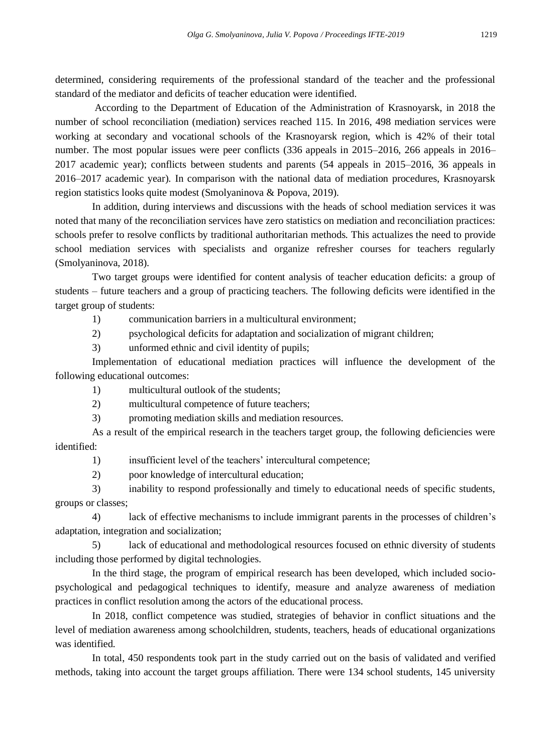determined, considering requirements of the professional standard of the teacher and the professional standard of the mediator and deficits of teacher education were identified.

According to the Department of Education of the Administration of Krasnoyarsk, in 2018 the number of school reconciliation (mediation) services reached 115. In 2016, 498 mediation services were working at secondary and vocational schools of the Krasnoyarsk region, which is 42% of their total number. The most popular issues were peer conflicts (336 appeals in 2015–2016, 266 appeals in 2016– 2017 academic year); conflicts between students and parents (54 appeals in 2015–2016, 36 appeals in 2016–2017 academic year). In comparison with the national data of mediation procedures, Krasnoyarsk region statistics looks quite modest (Smolyaninova & Popova, 2019).

In addition, during interviews and discussions with the heads of school mediation services it was noted that many of the reconciliation services have zero statistics on mediation and reconciliation practices: schools prefer to resolve conflicts by traditional authoritarian methods. This actualizes the need to provide school mediation services with specialists and organize refresher courses for teachers regularly (Smolyaninova, 2018).

Two target groups were identified for content analysis of teacher education deficits: a group of students – future teachers and a group of practicing teachers. The following deficits were identified in the target group of students:

1) communication barriers in a multicultural environment;

2) psychological deficits for adaptation and socialization of migrant children;

3) unformed ethnic and civil identity of pupils;

Implementation of educational mediation practices will influence the development of the following educational outcomes:

1) multicultural outlook of the students;

2) multicultural competence of future teachers;

3) promoting mediation skills and mediation resources.

As a result of the empirical research in the teachers target group, the following deficiencies were identified:

1) insufficient level of the teachers' intercultural competence;

2) poor knowledge of intercultural education;

3) inability to respond professionally and timely to educational needs of specific students, groups or classes;

4) lack of effective mechanisms to include immigrant parents in the processes of children's adaptation, integration and socialization;

5) lack of educational and methodological resources focused on ethnic diversity of students including those performed by digital technologies.

In the third stage, the program of empirical research has been developed, which included sociopsychological and pedagogical techniques to identify, measure and analyze awareness of mediation practices in conflict resolution among the actors of the educational process.

In 2018, conflict competence was studied, strategies of behavior in conflict situations and the level of mediation awareness among schoolchildren, students, teachers, heads of educational organizations was identified.

In total, 450 respondents took part in the study carried out on the basis of validated and verified methods, taking into account the target groups affiliation. There were 134 school students, 145 university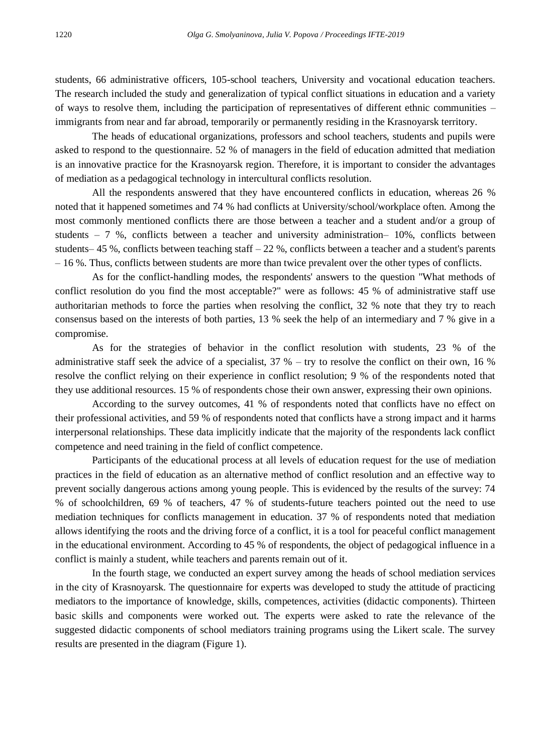students, 66 administrative officers, 105-school teachers, University and vocational education teachers. The research included the study and generalization of typical conflict situations in education and a variety of ways to resolve them, including the participation of representatives of different ethnic communities – immigrants from near and far abroad, temporarily or permanently residing in the Krasnoyarsk territory.

The heads of educational organizations, professors and school teachers, students and pupils were asked to respond to the questionnaire. 52 % of managers in the field of education admitted that mediation is an innovative practice for the Krasnoyarsk region. Therefore, it is important to consider the advantages of mediation as a pedagogical technology in intercultural conflicts resolution.

All the respondents answered that they have encountered conflicts in education, whereas 26 % noted that it happened sometimes and 74 % had conflicts at University/school/workplace often. Among the most commonly mentioned conflicts there are those between a teacher and a student and/or a group of students – 7 %, conflicts between a teacher and university administration– 10%, conflicts between students– 45 %, conflicts between teaching staff  $-22$  %, conflicts between a teacher and a student's parents – 16 %. Thus, conflicts between students are more than twice prevalent over the other types of conflicts.

As for the conflict-handling modes, the respondents' answers to the question "What methods of conflict resolution do you find the most acceptable?" were as follows: 45 % of administrative staff use authoritarian methods to force the parties when resolving the conflict, 32 % note that they try to reach consensus based on the interests of both parties, 13 % seek the help of an intermediary and 7 % give in a compromise.

As for the strategies of behavior in the conflict resolution with students, 23 % of the administrative staff seek the advice of a specialist, 37 % – try to resolve the conflict on their own, 16 % resolve the conflict relying on their experience in conflict resolution; 9 % of the respondents noted that they use additional resources. 15 % of respondents chose their own answer, expressing their own opinions.

According to the survey outcomes, 41 % of respondents noted that conflicts have no effect on their professional activities, and 59 % of respondents noted that conflicts have a strong impact and it harms interpersonal relationships. These data implicitly indicate that the majority of the respondents lack conflict competence and need training in the field of conflict competence.

Participants of the educational process at all levels of education request for the use of mediation practices in the field of education as an alternative method of conflict resolution and an effective way to prevent socially dangerous actions among young people. This is evidenced by the results of the survey: 74 % of schoolchildren, 69 % of teachers, 47 % of students-future teachers pointed out the need to use mediation techniques for conflicts management in education. 37 % of respondents noted that mediation allows identifying the roots and the driving force of a conflict, it is a tool for peaceful conflict management in the educational environment. According to 45 % of respondents, the object of pedagogical influence in a conflict is mainly a student, while teachers and parents remain out of it.

In the fourth stage, we conducted an expert survey among the heads of school mediation services in the city of Krasnoyarsk. The questionnaire for experts was developed to study the attitude of practicing mediators to the importance of knowledge, skills, competences, activities (didactic components). Thirteen basic skills and components were worked out. The experts were asked to rate the relevance of the suggested didactic components of school mediators training programs using the Likert scale. The survey results are presented in the diagram (Figure 1).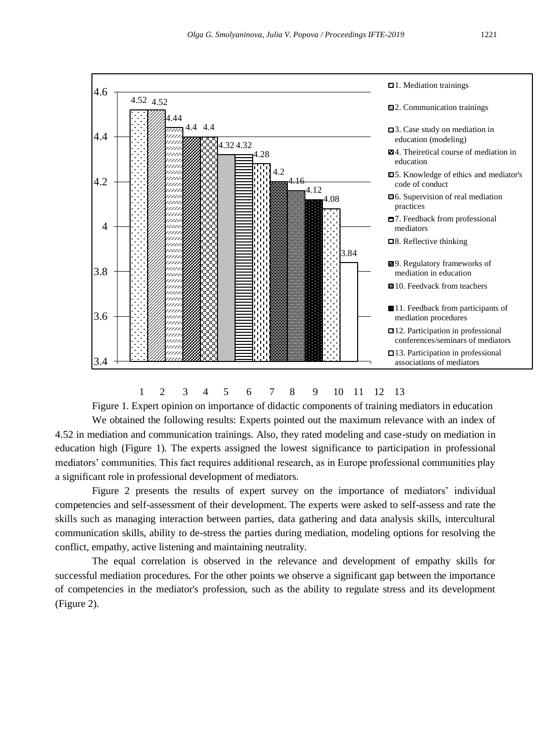

# 1 2 3 4 5 6 7 8 9 10 11 12 13

Figure 1. Expert opinion on importance of didactic components of training mediators in education

We obtained the following results: Experts pointed out the maximum relevance with an index of 4.52 in mediation and communication trainings. Also, they rated modeling and case-study on mediation in education high (Figure 1). The experts assigned the lowest significance to participation in professional mediators' communities. This fact requires additional research, as in Europe professional communities play a significant role in professional development of mediators.

Figure 2 presents the results of expert survey on the importance of mediators' individual competencies and self-assessment of their development. The experts were asked to self-assess and rate the skills such as managing interaction between parties, data gathering and data analysis skills, intercultural communication skills, ability to de-stress the parties during mediation, modeling options for resolving the conflict, empathy, active listening and maintaining neutrality.

The equal correlation is observed in the relevance and development of empathy skills for successful mediation procedures. For the other points we observe a significant gap between the importance of competencies in the mediator's profession, such as the ability to regulate stress and its development (Figure 2).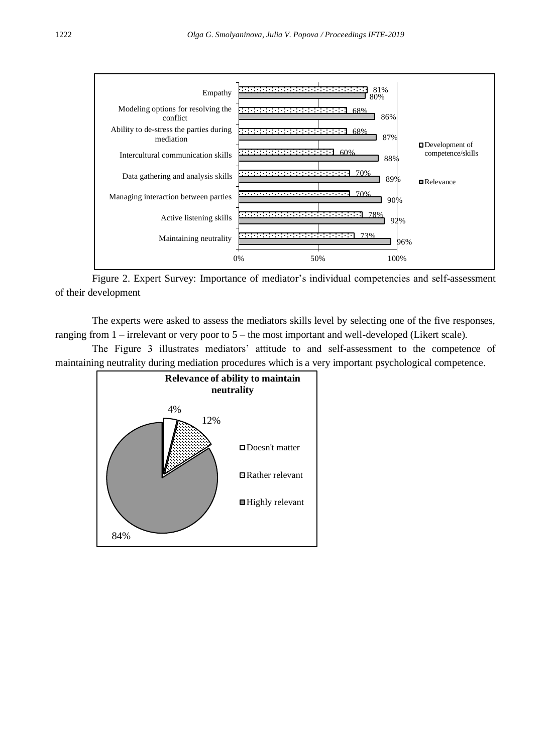

Figure 2. Expert Survey: Importance of mediator's individual competencies and self-assessment of their development

The experts were asked to assess the mediators skills level by selecting one of the five responses, ranging from 1 – irrelevant or very poor to 5 – the most important and well-developed (Likert scale).

The Figure 3 illustrates mediators' attitude to and self-assessment to the competence of maintaining neutrality during mediation procedures which is a very important psychological competence.

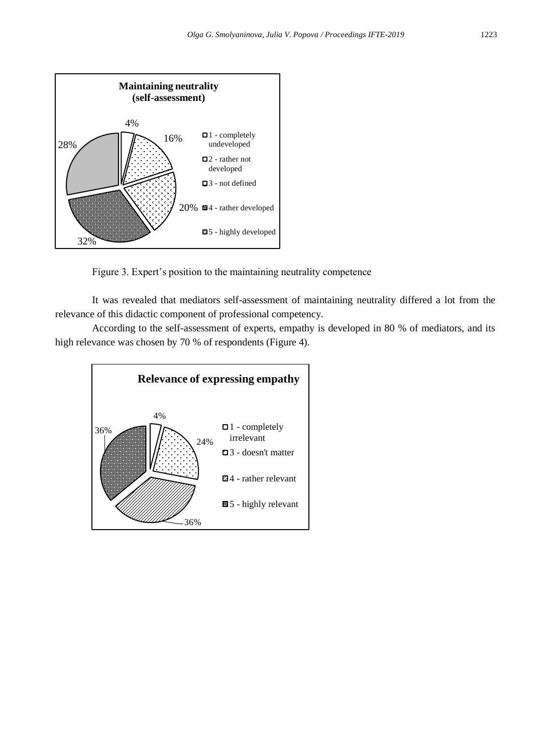

Figure 3. Expert's position to the maintaining neutrality competence

It was revealed that mediators self-assessment of maintaining neutrality differed a lot from the relevance of this didactic component of professional competency.

According to the self-assessment of experts, empathy is developed in 80 % of mediators, and its high relevance was chosen by 70 % of respondents (Figure 4).

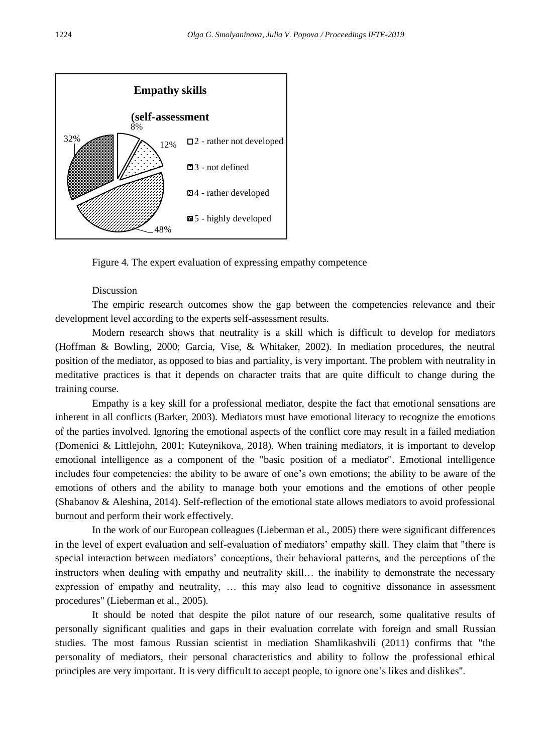

Figure 4. The expert evaluation of expressing empathy competence

# Discussion

The empiric research outcomes show the gap between the competencies relevance and their development level according to the experts self-assessment results.

Modern research shows that neutrality is a skill which is difficult to develop for mediators (Hoffman & Bowling, 2000; Garcia, Vise, & Whitaker, 2002). In mediation procedures, the neutral position of the mediator, as opposed to bias and partiality, is very important. The problem with neutrality in meditative practices is that it depends on character traits that are quite difficult to change during the training course.

Empathy is a key skill for a professional mediator, despite the fact that emotional sensations are inherent in all conflicts (Barker, 2003). Mediators must have emotional literacy to recognize the emotions of the parties involved. Ignoring the emotional aspects of the conflict core may result in a failed mediation (Domenici & Littlejohn, 2001; Kuteynikova, 2018). When training mediators, it is important to develop emotional intelligence as a component of the "basic position of a mediator". Emotional intelligence includes four competencies: the ability to be aware of one's own emotions; the ability to be aware of the emotions of others and the ability to manage both your emotions and the emotions of other people (Shabanov & Aleshina, 2014). Self-reflection of the emotional state allows mediators to avoid professional burnout and perform their work effectively.

In the work of our European colleagues (Lieberman et al., 2005) there were significant differences in the level of expert evaluation and self-evaluation of mediators' empathy skill. They claim that "there is special interaction between mediators' conceptions, their behavioral patterns, and the perceptions of the instructors when dealing with empathy and neutrality skill… the inability to demonstrate the necessary expression of empathy and neutrality, … this may also lead to cognitive dissonance in assessment procedures" (Lieberman et al., 2005).

It should be noted that despite the pilot nature of our research, some qualitative results of personally significant qualities and gaps in their evaluation correlate with foreign and small Russian studies. The most famous Russian scientist in mediation Shamlikashvili (2011) confirms that "the personality of mediators, their personal characteristics and ability to follow the professional ethical principles are very important. It is very difficult to accept people, to ignore one's likes and dislikes".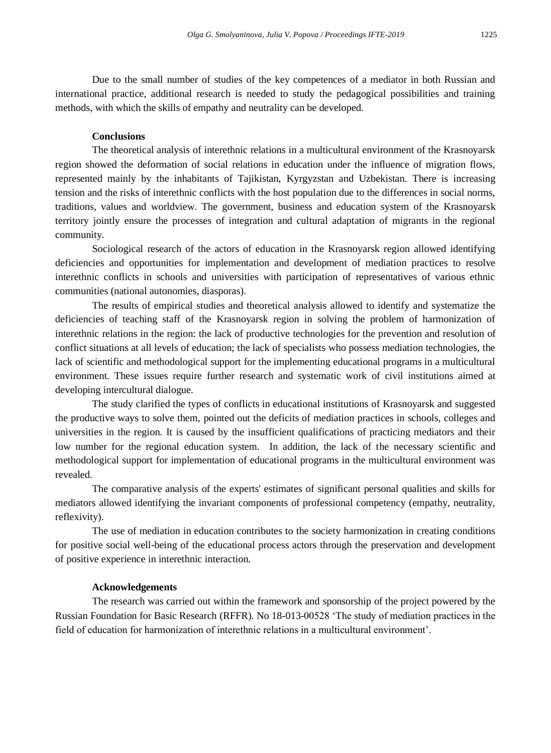Due to the small number of studies of the key competences of a mediator in both Russian and international practice, additional research is needed to study the pedagogical possibilities and training methods, with which the skills of empathy and neutrality can be developed.

#### **Conclusions**

The theoretical analysis of interethnic relations in a multicultural environment of the Krasnoyarsk region showed the deformation of social relations in education under the influence of migration flows, represented mainly by the inhabitants of Tajikistan, Kyrgyzstan and Uzbekistan. There is increasing tension and the risks of interethnic conflicts with the host population due to the differences in social norms, traditions, values and worldview. The government, business and education system of the Krasnoyarsk territory jointly ensure the processes of integration and cultural adaptation of migrants in the regional community.

Sociological research of the actors of education in the Krasnoyarsk region allowed identifying deficiencies and opportunities for implementation and development of mediation practices to resolve interethnic conflicts in schools and universities with participation of representatives of various ethnic communities (national autonomies, diasporas).

The results of empirical studies and theoretical analysis allowed to identify and systematize the deficiencies of teaching staff of the Krasnoyarsk region in solving the problem of harmonization of interethnic relations in the region: the lack of productive technologies for the prevention and resolution of conflict situations at all levels of education; the lack of specialists who possess mediation technologies, the lack of scientific and methodological support for the implementing educational programs in a multicultural environment. These issues require further research and systematic work of civil institutions aimed at developing intercultural dialogue.

The study clarified the types of conflicts in educational institutions of Krasnoyarsk and suggested the productive ways to solve them, pointed out the deficits of mediation practices in schools, colleges and universities in the region. It is caused by the insufficient qualifications of practicing mediators and their low number for the regional education system. In addition, the lack of the necessary scientific and methodological support for implementation of educational programs in the multicultural environment was revealed.

The comparative analysis of the experts' estimates of significant personal qualities and skills for mediators allowed identifying the invariant components of professional competency (empathy, neutrality, reflexivity).

The use of mediation in education contributes to the society harmonization in creating conditions for positive social well-being of the educational process actors through the preservation and development of positive experience in interethnic interaction.

#### **Acknowledgements**

The research was carried out within the framework and sponsorship of the project powered by the Russian Foundation for Basic Research (RFFR). No 18-013-00528 'The study of mediation practices in the field of education for harmonization of interethnic relations in a multicultural environment'.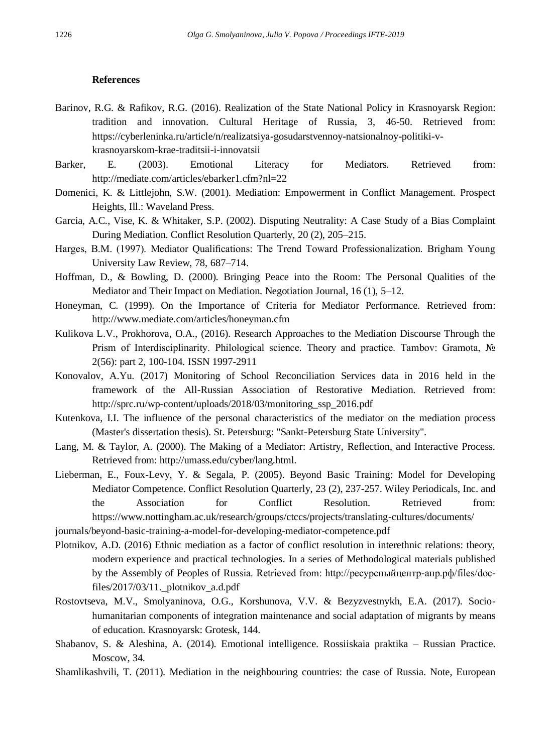#### **References**

- Barinov, R.G. & Rafikov, R.G. (2016). Realization of the State National Policy in Krasnoyarsk Region: tradition and innovation. Cultural Heritage of Russia, 3, 46-50. Retrieved from: https://cyberleninka.ru/article/n/realizatsiya-gosudarstvennoy-natsionalnoy-politiki-vkrasnoyarskom-krae-traditsii-i-innovatsii
- Barker, E. (2003). Emotional Literacy for Mediators. Retrieved from: http://mediate.com/articles/ebarker1.cfm?nl=22
- Domenici, K. & Littlejohn, S.W. (2001). Mediation: Empowerment in Conflict Management. Prospect Heights, Ill.: Waveland Press.
- Garcia, A.C., Vise, K. & Whitaker, S.P. (2002). Disputing Neutrality: A Case Study of a Bias Complaint During Mediation. Conflict Resolution Quarterly, 20 (2), 205–215.
- Harges, B.M. (1997). Mediator Qualifications: The Trend Toward Professionalization. Brigham Young University Law Review, 78, 687–714.
- Hoffman, D., & Bowling, D. (2000). Bringing Peace into the Room: The Personal Qualities of the Mediator and Their Impact on Mediation. Negotiation Journal, 16 (1), 5–12.
- Honeyman, C. (1999). On the Importance of Criteria for Mediator Performance. Retrieved from: http://www.mediate.com/articles/honeyman.cfm
- Kulikova L.V., Prokhorova, O.A., (2016). Research Approaches to the Mediation Discourse Through the Prism of Interdisciplinarity. Philological science. Theory and practice. Tambov: Gramota, № 2(56): part 2, 100-104. ISSN 1997-2911
- Konovalov, A.Yu. (2017) Monitoring of School Reconciliation Services data in 2016 held in the framework of the All-Russian Association of Restorative Mediation. Retrieved from: http://sprc.ru/wp-content/uploads/2018/03/monitoring\_ssp\_2016.pdf
- Kutenkova, I.I. The influence of the personal characteristics of the mediator on the mediation process (Master's dissertation thesis). St. Petersburg: "Sankt-Petersburg State University".
- Lang, M. & Taylor, A. (2000). The Making of a Mediator: Artistry, Reflection, and Interactive Process. Retrieved from: http://umass.edu/cyber/lang.html.
- Lieberman, E., Foux-Levy, Y. & Segala, P. (2005). Beyond Basic Training: Model for Developing Mediator Competence. Conflict Resolution Quarterly, 23 (2), 237-257. Wiley Periodicals, Inc. and the Association for Conflict Resolution. Retrieved from: https://www.nottingham.ac.uk/research/groups/ctccs/projects/translating-cultures/documents/

journals/beyond-basic-training-a-model-for-developing-mediator-competence.pdf

- Plotnikov, A.D. (2016) Ethnic mediation as a factor of conflict resolution in interethnic relations: theory, modern experience and practical technologies. In a series of Methodological materials published by the Assembly of Peoples of Russia. Retrieved from: http://ресурсныйцентр-анр.рф/files/docfiles/2017/03/11.\_plotnikov\_a.d.pdf
- Rostovtseva, M.V., Smolyaninova, O.G., Korshunova, V.V. & Bezyzvestnykh, E.A. (2017). Sociohumanitarian components of integration maintenance and social adaptation of migrants by means of education. Krasnoyarsk: Grotesk, 144.
- Shabanov, S. & Aleshina, A. (2014). Emotional intelligence. Rossiiskaia praktika Russian Practice. Moscow, 34.
- Shamlikashvili, T. (2011). Mediation in the neighbouring countries: the case of Russia. Note, European